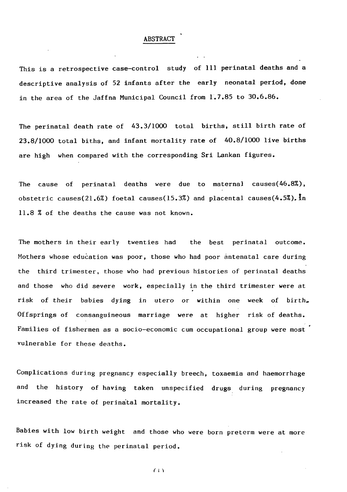## **ABSTRACT**

**This is a retrospective case—control study of 111 perinatal deaths and a descriptive analysis of 52 infants after the early neonatal period, done**

 $\bullet$ 

**in the area of the Jaffna Municipal Council from 1.7.85 to 30.6.86.**

**The perinatal death rate of 43.3/1000 total births, still birth rate of**

**The mothers in their early twenties had the best perinatal outcome.** Mothers whose education was poor, those who had poor antenatal care during

**23.8/1000 total biths, and infant mortality rate of 40.8/1000 live births**

**are high when compared with the corresponding Sri Lankan figures.**

**The cause of perinatal deaths were due to maternal causes(46.8%), obstetric causes(21.6%) foetal causes(15.3%) and placental causes(4.5%). In 11.8 % of the deaths the cause was not known.**

**the third trimester, those who had previous histories of perinatal deaths and those who did severe work, especially in the third trimester were at risk of their babies dying in utero or within one week of birth. Offsprings of consanguineous marriage were at higher risk of deaths. Families of fishermen as a socio-economic cum occupational group were most vulnerable for these deaths.**

**Complications during pregnancy especially breech, toxaemia and haemorrhage and the history of having taken unspecified drugs during pregnancy**

## **increased the rate of perinatal mortality.**

## **Babies with low birth weight and those who were born preterm were at more**

**risk of dying during the perinatal period.**

 $(i)$